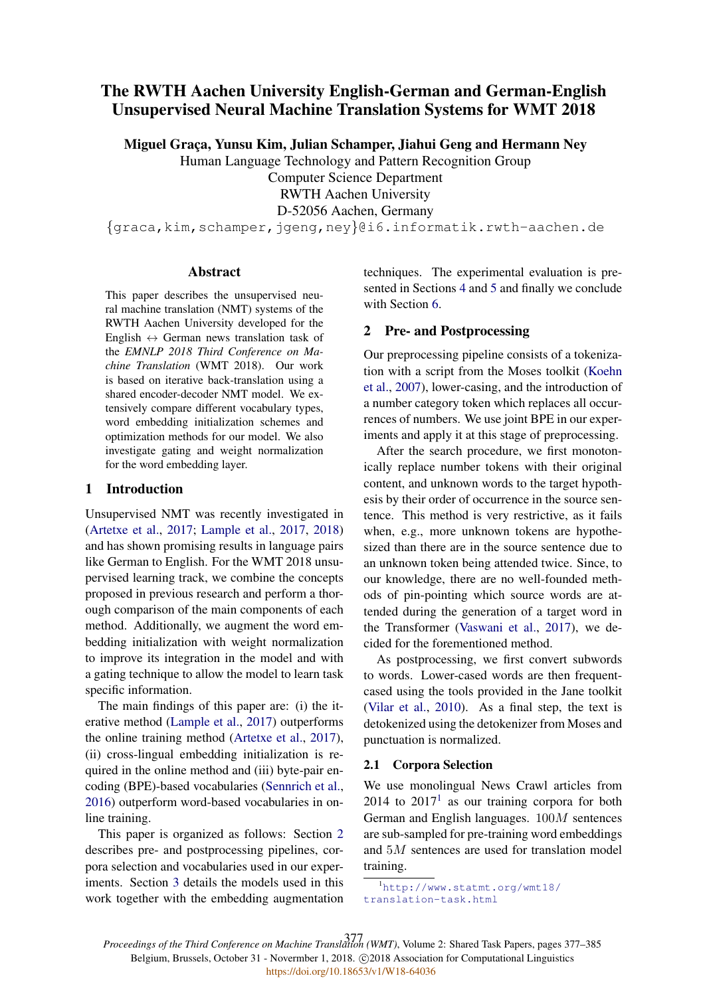# The RWTH Aachen University English-German and German-English Unsupervised Neural Machine Translation Systems for WMT 2018

Miguel Graça, Yunsu Kim, Julian Schamper, Jiahui Geng and Hermann Ney

Human Language Technology and Pattern Recognition Group

Computer Science Department

RWTH Aachen University

D-52056 Aachen, Germany

{graca,kim,schamper,jgeng,ney}@i6.informatik.rwth-aachen.de

### Abstract

This paper describes the unsupervised neural machine translation (NMT) systems of the RWTH Aachen University developed for the English  $\leftrightarrow$  German news translation task of the *EMNLP 2018 Third Conference on Machine Translation* (WMT 2018). Our work is based on iterative back-translation using a shared encoder-decoder NMT model. We extensively compare different vocabulary types, word embedding initialization schemes and optimization methods for our model. We also investigate gating and weight normalization for the word embedding layer.

# 1 Introduction

Unsupervised NMT was recently investigated in (Artetxe et al., 2017; Lample et al., 2017, 2018) and has shown promising results in language pairs like German to English. For the WMT 2018 unsupervised learning track, we combine the concepts proposed in previous research and perform a thorough comparison of the main components of each method. Additionally, we augment the word embedding initialization with weight normalization to improve its integration in the model and with a gating technique to allow the model to learn task specific information.

The main findings of this paper are: (i) the iterative method (Lample et al., 2017) outperforms the online training method (Artetxe et al., 2017), (ii) cross-lingual embedding initialization is required in the online method and (iii) byte-pair encoding (BPE)-based vocabularies (Sennrich et al., 2016) outperform word-based vocabularies in online training.

This paper is organized as follows: Section 2 describes pre- and postprocessing pipelines, corpora selection and vocabularies used in our experiments. Section 3 details the models used in this work together with the embedding augmentation techniques. The experimental evaluation is presented in Sections 4 and 5 and finally we conclude with Section 6.

# 2 Pre- and Postprocessing

Our preprocessing pipeline consists of a tokenization with a script from the Moses toolkit (Koehn et al., 2007), lower-casing, and the introduction of a number category token which replaces all occurrences of numbers. We use joint BPE in our experiments and apply it at this stage of preprocessing.

After the search procedure, we first monotonically replace number tokens with their original content, and unknown words to the target hypothesis by their order of occurrence in the source sentence. This method is very restrictive, as it fails when, e.g., more unknown tokens are hypothesized than there are in the source sentence due to an unknown token being attended twice. Since, to our knowledge, there are no well-founded methods of pin-pointing which source words are attended during the generation of a target word in the Transformer (Vaswani et al., 2017), we decided for the forementioned method.

As postprocessing, we first convert subwords to words. Lower-cased words are then frequentcased using the tools provided in the Jane toolkit (Vilar et al., 2010). As a final step, the text is detokenized using the detokenizer from Moses and punctuation is normalized.

### 2.1 Corpora Selection

We use monolingual News Crawl articles from  $2014$  to  $2017<sup>1</sup>$  as our training corpora for both German and English languages. 100M sentences are sub-sampled for pre-training word embeddings and 5M sentences are used for translation model training.

*Proceedings of the Third Conference on Machine Translation (WMT)*, Volume 2: Shared Task Papers, pages 377–385 377Belgium, Brussels, October 31 - Novermber 1, 2018. C2018 Association for Computational Linguistics <https://doi.org/10.18653/v1/W18-64036>

<sup>1</sup>http://www.statmt.org/wmt18/ translation-task.html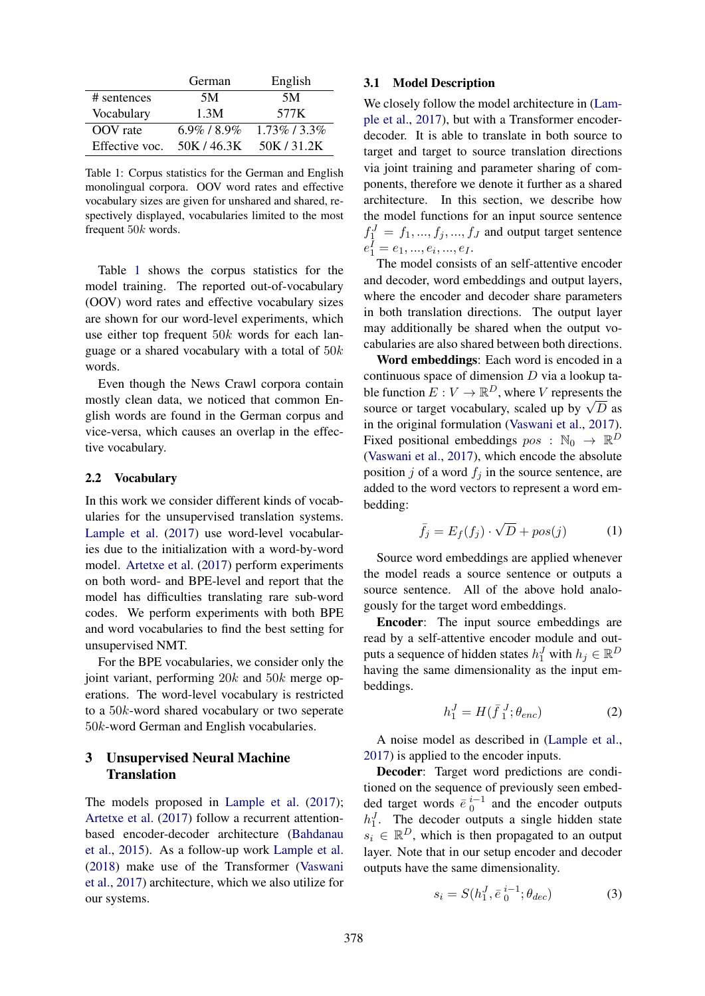|                | German            | English          |
|----------------|-------------------|------------------|
| # sentences    | 5M                | 5M               |
| Vocabulary     | 1.3M              | 577K             |
| OOV rate       | $6.9\%$ / $8.9\%$ | $1.73\%$ / 3.3\% |
| Effective voc. | 50K/46.3K         | 50K / 31.2K      |

Table 1: Corpus statistics for the German and English monolingual corpora. OOV word rates and effective vocabulary sizes are given for unshared and shared, respectively displayed, vocabularies limited to the most frequent 50k words.

Table 1 shows the corpus statistics for the model training. The reported out-of-vocabulary (OOV) word rates and effective vocabulary sizes are shown for our word-level experiments, which use either top frequent  $50k$  words for each language or a shared vocabulary with a total of  $50k$ words.

Even though the News Crawl corpora contain mostly clean data, we noticed that common English words are found in the German corpus and vice-versa, which causes an overlap in the effective vocabulary.

### 2.2 Vocabulary

In this work we consider different kinds of vocabularies for the unsupervised translation systems. Lample et al. (2017) use word-level vocabularies due to the initialization with a word-by-word model. Artetxe et al. (2017) perform experiments on both word- and BPE-level and report that the model has difficulties translating rare sub-word codes. We perform experiments with both BPE and word vocabularies to find the best setting for unsupervised NMT.

For the BPE vocabularies, we consider only the joint variant, performing 20k and 50k merge operations. The word-level vocabulary is restricted to a 50k-word shared vocabulary or two seperate 50k-word German and English vocabularies.

# 3 Unsupervised Neural Machine **Translation**

The models proposed in Lample et al. (2017); Artetxe et al. (2017) follow a recurrent attentionbased encoder-decoder architecture (Bahdanau et al., 2015). As a follow-up work Lample et al. (2018) make use of the Transformer (Vaswani et al., 2017) architecture, which we also utilize for our systems.

### 3.1 Model Description

We closely follow the model architecture in (Lample et al., 2017), but with a Transformer encoderdecoder. It is able to translate in both source to target and target to source translation directions via joint training and parameter sharing of components, therefore we denote it further as a shared architecture. In this section, we describe how the model functions for an input source sentence  $f_1^J = f_1, ..., f_j, ..., f_J$  and output target sentence  $e_1^I = e_1, ..., e_i, ..., e_I.$ 

The model consists of an self-attentive encoder and decoder, word embeddings and output layers, where the encoder and decoder share parameters in both translation directions. The output layer may additionally be shared when the output vocabularies are also shared between both directions.

Word embeddings: Each word is encoded in a continuous space of dimension  $D$  via a lookup table function  $E: V \to \mathbb{R}^D$ , where V represents the source or target vocabulary, scaled up by  $\sqrt{D}$  as in the original formulation (Vaswani et al., 2017). Fixed positional embeddings  $pos : \mathbb{N}_0 \to \mathbb{R}^D$ (Vaswani et al., 2017), which encode the absolute position j of a word  $f_i$  in the source sentence, are added to the word vectors to represent a word embedding:

$$
\bar{f}_j = E_f(f_j) \cdot \sqrt{D} + pos(j) \tag{1}
$$

Source word embeddings are applied whenever the model reads a source sentence or outputs a source sentence. All of the above hold analogously for the target word embeddings.

Encoder: The input source embeddings are read by a self-attentive encoder module and outputs a sequence of hidden states  $h_1^J$  with  $h_j \in \mathbb{R}^D$ having the same dimensionality as the input embeddings.

$$
h_1^J = H(\bar{f}_1^J; \theta_{enc})
$$
 (2)

A noise model as described in (Lample et al., 2017) is applied to the encoder inputs.

Decoder: Target word predictions are conditioned on the sequence of previously seen embedded target words  $\bar{e}^{i-1}$  and the encoder outputs  $h_1^J$ . The decoder outputs a single hidden state  $s_i \in \mathbb{R}^D$ , which is then propagated to an output layer. Note that in our setup encoder and decoder outputs have the same dimensionality.

$$
s_i = S(h_1^J, \bar{e}_0^{i-1}; \theta_{dec})
$$
 (3)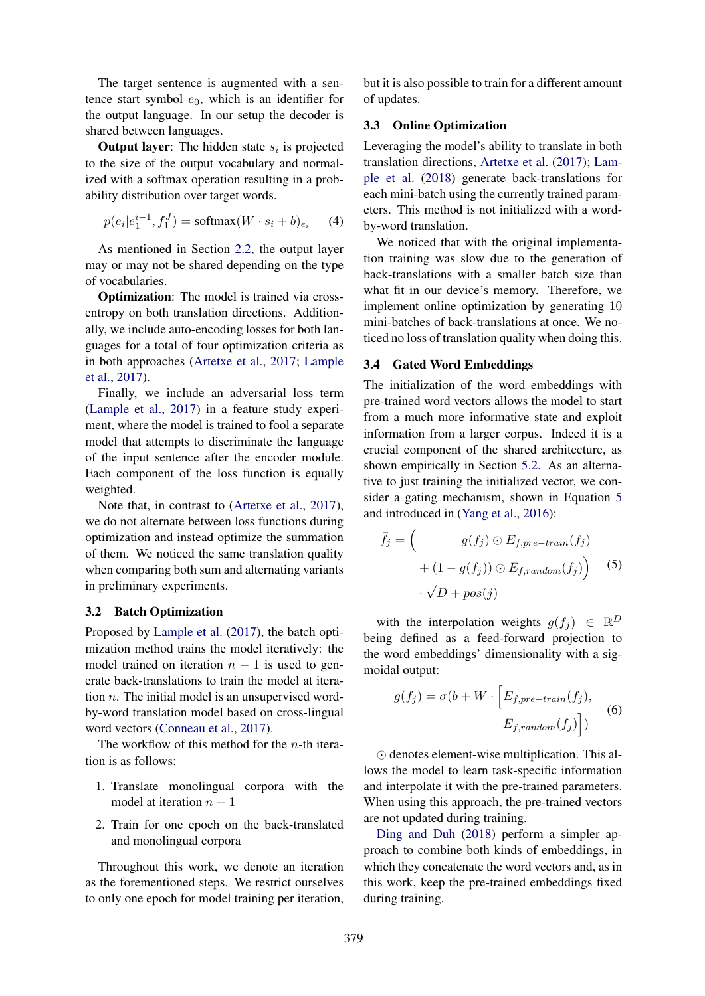The target sentence is augmented with a sentence start symbol  $e_0$ , which is an identifier for the output language. In our setup the decoder is shared between languages.

**Output layer:** The hidden state  $s_i$  is projected to the size of the output vocabulary and normalized with a softmax operation resulting in a probability distribution over target words.

$$
p(e_i|e_1^{i-1}, f_1^J) = \text{softmax}(W \cdot s_i + b)_{e_i} \tag{4}
$$

As mentioned in Section 2.2, the output layer may or may not be shared depending on the type of vocabularies.

Optimization: The model is trained via crossentropy on both translation directions. Additionally, we include auto-encoding losses for both languages for a total of four optimization criteria as in both approaches (Artetxe et al., 2017; Lample et al., 2017).

Finally, we include an adversarial loss term (Lample et al., 2017) in a feature study experiment, where the model is trained to fool a separate model that attempts to discriminate the language of the input sentence after the encoder module. Each component of the loss function is equally weighted.

Note that, in contrast to (Artetxe et al., 2017), we do not alternate between loss functions during optimization and instead optimize the summation of them. We noticed the same translation quality when comparing both sum and alternating variants in preliminary experiments.

#### 3.2 Batch Optimization

Proposed by Lample et al. (2017), the batch optimization method trains the model iteratively: the model trained on iteration  $n - 1$  is used to generate back-translations to train the model at iteration  $n$ . The initial model is an unsupervised wordby-word translation model based on cross-lingual word vectors (Conneau et al., 2017).

The workflow of this method for the *n*-th iteration is as follows:

- 1. Translate monolingual corpora with the model at iteration  $n - 1$
- 2. Train for one epoch on the back-translated and monolingual corpora

Throughout this work, we denote an iteration as the forementioned steps. We restrict ourselves to only one epoch for model training per iteration,

but it is also possible to train for a different amount of updates.

#### 3.3 Online Optimization

Leveraging the model's ability to translate in both translation directions, Artetxe et al. (2017); Lample et al. (2018) generate back-translations for each mini-batch using the currently trained parameters. This method is not initialized with a wordby-word translation.

We noticed that with the original implementation training was slow due to the generation of back-translations with a smaller batch size than what fit in our device's memory. Therefore, we implement online optimization by generating 10 mini-batches of back-translations at once. We noticed no loss of translation quality when doing this.

#### 3.4 Gated Word Embeddings

The initialization of the word embeddings with pre-trained word vectors allows the model to start from a much more informative state and exploit information from a larger corpus. Indeed it is a crucial component of the shared architecture, as shown empirically in Section 5.2. As an alternative to just training the initialized vector, we consider a gating mechanism, shown in Equation 5 and introduced in (Yang et al., 2016):

$$
\bar{f}_j = \begin{pmatrix} g(f_j) \odot E_{f,pre-train}(f_j) \\ + (1 - g(f_j)) \odot E_{f,random}(f_j) \end{pmatrix} \tag{5}
$$

$$
\cdot \sqrt{D} + pos(j)
$$

with the interpolation weights  $g(f_j) \in \mathbb{R}^D$ being defined as a feed-forward projection to the word embeddings' dimensionality with a sigmoidal output:

$$
g(f_j) = \sigma(b + W \cdot \left[ E_{f,pre-train}(f_j), \right]
$$
  

$$
E_{f,random}(f_j) \Big)
$$
 (6)

 $\odot$  denotes element-wise multiplication. This allows the model to learn task-specific information and interpolate it with the pre-trained parameters. When using this approach, the pre-trained vectors are not updated during training.

Ding and Duh (2018) perform a simpler approach to combine both kinds of embeddings, in which they concatenate the word vectors and, as in this work, keep the pre-trained embeddings fixed during training.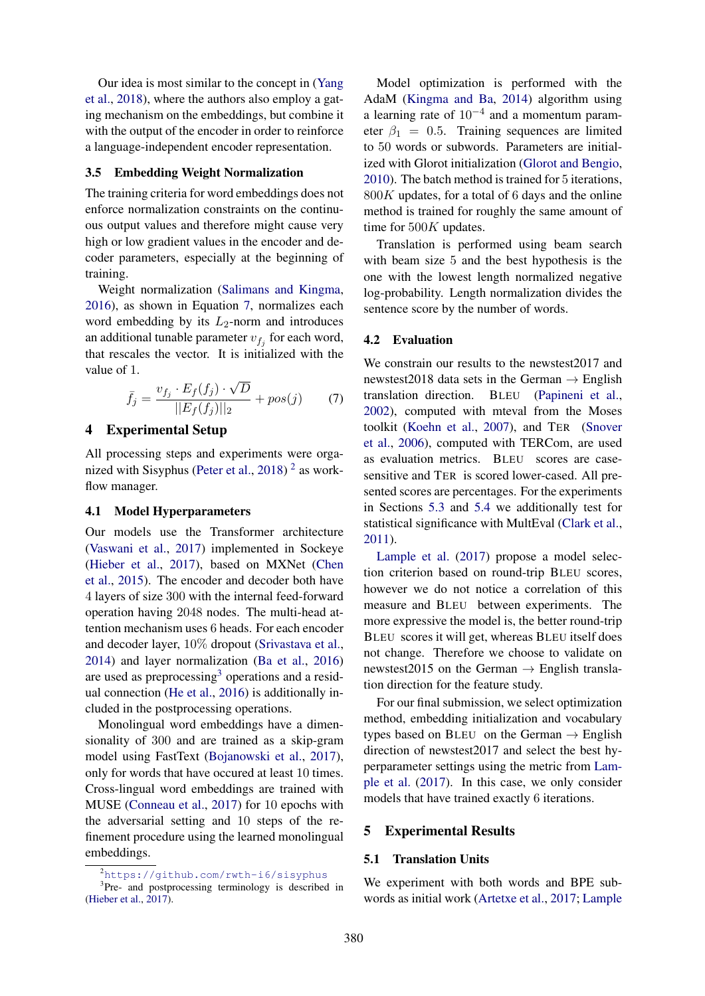Our idea is most similar to the concept in (Yang et al., 2018), where the authors also employ a gating mechanism on the embeddings, but combine it with the output of the encoder in order to reinforce a language-independent encoder representation.

### 3.5 Embedding Weight Normalization

The training criteria for word embeddings does not enforce normalization constraints on the continuous output values and therefore might cause very high or low gradient values in the encoder and decoder parameters, especially at the beginning of training.

Weight normalization (Salimans and Kingma, 2016), as shown in Equation 7, normalizes each word embedding by its  $L_2$ -norm and introduces an additional tunable parameter  $v_{f_j}$  for each word, that rescales the vector. It is initialized with the value of 1.

$$
\bar{f}_j = \frac{v_{f_j} \cdot E_f(f_j) \cdot \sqrt{D}}{||E_f(f_j)||_2} + pos(j) \tag{7}
$$

#### 4 Experimental Setup

All processing steps and experiments were organized with Sisyphus (Peter et al., 2018)<sup>2</sup> as workflow manager.

#### 4.1 Model Hyperparameters

Our models use the Transformer architecture (Vaswani et al., 2017) implemented in Sockeye (Hieber et al., 2017), based on MXNet (Chen et al., 2015). The encoder and decoder both have 4 layers of size 300 with the internal feed-forward operation having 2048 nodes. The multi-head attention mechanism uses 6 heads. For each encoder and decoder layer, 10% dropout (Srivastava et al., 2014) and layer normalization (Ba et al., 2016) are used as preprocessing<sup>3</sup> operations and a residual connection (He et al., 2016) is additionally included in the postprocessing operations.

Monolingual word embeddings have a dimensionality of 300 and are trained as a skip-gram model using FastText (Bojanowski et al., 2017), only for words that have occured at least 10 times. Cross-lingual word embeddings are trained with MUSE (Conneau et al., 2017) for 10 epochs with the adversarial setting and 10 steps of the refinement procedure using the learned monolingual embeddings.

Model optimization is performed with the AdaM (Kingma and Ba, 2014) algorithm using a learning rate of  $10^{-4}$  and a momentum parameter  $\beta_1 = 0.5$ . Training sequences are limited to 50 words or subwords. Parameters are initialized with Glorot initialization (Glorot and Bengio, 2010). The batch method is trained for 5 iterations,  $800K$  updates, for a total of 6 days and the online method is trained for roughly the same amount of time for 500K updates.

Translation is performed using beam search with beam size 5 and the best hypothesis is the one with the lowest length normalized negative log-probability. Length normalization divides the sentence score by the number of words.

#### 4.2 Evaluation

We constrain our results to the newstest2017 and newstest2018 data sets in the German  $\rightarrow$  English translation direction. BLEU (Papineni et al., 2002), computed with mteval from the Moses toolkit (Koehn et al., 2007), and TER (Snover et al., 2006), computed with TERCom, are used as evaluation metrics. BLEU scores are casesensitive and TER is scored lower-cased. All presented scores are percentages. For the experiments in Sections 5.3 and 5.4 we additionally test for statistical significance with MultEval (Clark et al., 2011).

Lample et al. (2017) propose a model selection criterion based on round-trip BLEU scores, however we do not notice a correlation of this measure and BLEU between experiments. The more expressive the model is, the better round-trip BLEU scores it will get, whereas BLEU itself does not change. Therefore we choose to validate on newstest2015 on the German  $\rightarrow$  English translation direction for the feature study.

For our final submission, we select optimization method, embedding initialization and vocabulary types based on BLEU on the German  $\rightarrow$  English direction of newstest2017 and select the best hyperparameter settings using the metric from Lample et al. (2017). In this case, we only consider models that have trained exactly 6 iterations.

#### 5 Experimental Results

#### 5.1 Translation Units

We experiment with both words and BPE subwords as initial work (Artetxe et al., 2017; Lample

<sup>2</sup>https://github.com/rwth-i6/sisyphus

<sup>&</sup>lt;sup>3</sup>Pre- and postprocessing terminology is described in (Hieber et al., 2017).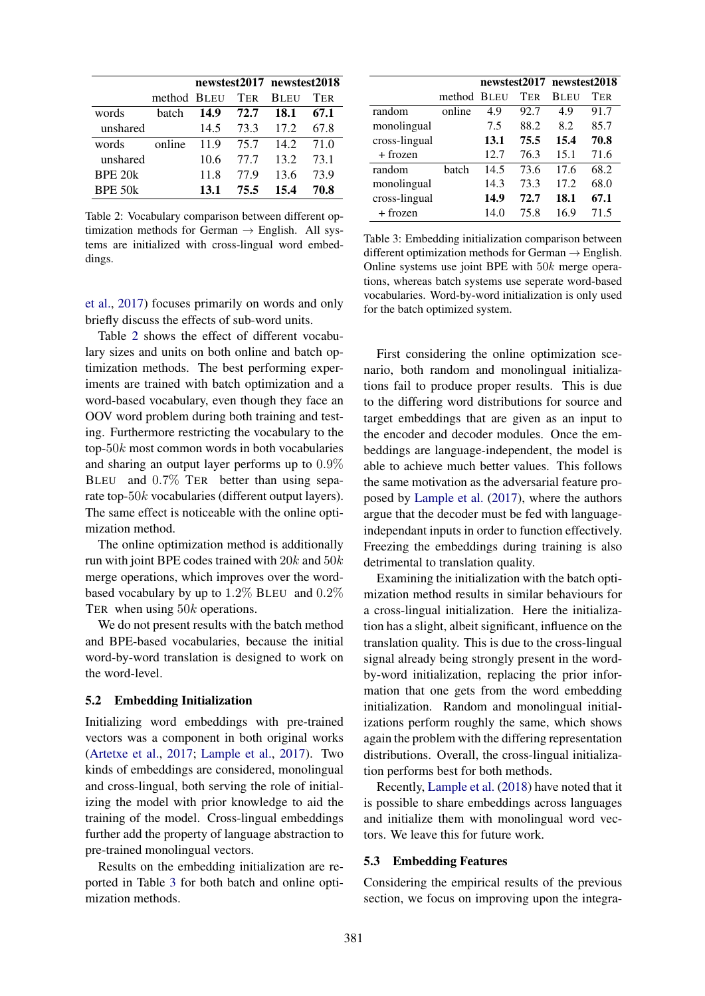|          |             |      |            | newstest2017 newstest2018 |      |  |  |
|----------|-------------|------|------------|---------------------------|------|--|--|
|          | method BLEU |      | <b>TER</b> | <b>BLEU</b>               | TER  |  |  |
| words    | hatch       | 14.9 | 72.7       | 18.1                      | 67.1 |  |  |
| unshared |             | 14.5 | 73.3       | 172                       | 67.8 |  |  |
| words    | online      | 11.9 | 75.7       | 14.2                      | 71.0 |  |  |
| unshared |             | 10.6 | 77 7       | 13.2                      | 73.1 |  |  |
| BPE 20k  |             | 11.8 | 77.9       | 13.6                      | 73.9 |  |  |
| BPE 50k  |             | 13.1 | 75.5       | 15.4                      | 70.8 |  |  |

Table 2: Vocabulary comparison between different optimization methods for German  $\rightarrow$  English. All systems are initialized with cross-lingual word embeddings.

et al., 2017) focuses primarily on words and only briefly discuss the effects of sub-word units.

Table 2 shows the effect of different vocabulary sizes and units on both online and batch optimization methods. The best performing experiments are trained with batch optimization and a word-based vocabulary, even though they face an OOV word problem during both training and testing. Furthermore restricting the vocabulary to the top- $50k$  most common words in both vocabularies and sharing an output layer performs up to 0.9% BLEU and  $0.7\%$  TER better than using separate top-50k vocabularies (different output layers). The same effect is noticeable with the online optimization method.

The online optimization method is additionally run with joint BPE codes trained with  $20k$  and  $50k$ merge operations, which improves over the wordbased vocabulary by up to 1.2% BLEU and 0.2% TER when using 50k operations.

We do not present results with the batch method and BPE-based vocabularies, because the initial word-by-word translation is designed to work on the word-level.

#### 5.2 Embedding Initialization

Initializing word embeddings with pre-trained vectors was a component in both original works (Artetxe et al., 2017; Lample et al., 2017). Two kinds of embeddings are considered, monolingual and cross-lingual, both serving the role of initializing the model with prior knowledge to aid the training of the model. Cross-lingual embeddings further add the property of language abstraction to pre-trained monolingual vectors.

Results on the embedding initialization are reported in Table 3 for both batch and online optimization methods.

|               |             |      |      | newstest2017 newstest2018 |            |  |
|---------------|-------------|------|------|---------------------------|------------|--|
|               | method BLEU |      | TER  | <b>BLEU</b>               | <b>TER</b> |  |
| random        | online      | 4.9  | 92.7 | 4.9                       | 91.7       |  |
| monolingual   |             | 7.5  | 88.2 | 8.2                       | 85.7       |  |
| cross-lingual |             | 13.1 | 75.5 | 15.4                      | 70.8       |  |
| + frozen      |             | 12.7 | 76.3 | 15.1                      | 71.6       |  |
| random        | batch       | 14.5 | 73.6 | 17.6                      | 68.2       |  |
| monolingual   |             | 14.3 | 73.3 | 17.2                      | 68.0       |  |
| cross-lingual |             | 14.9 | 72.7 | 18.1                      | 67.1       |  |
| + frozen      |             | 14.0 | 75.8 | 16.9                      | 71.5       |  |

Table 3: Embedding initialization comparison between different optimization methods for German  $\rightarrow$  English. Online systems use joint BPE with  $50k$  merge operations, whereas batch systems use seperate word-based vocabularies. Word-by-word initialization is only used for the batch optimized system.

First considering the online optimization scenario, both random and monolingual initializations fail to produce proper results. This is due to the differing word distributions for source and target embeddings that are given as an input to the encoder and decoder modules. Once the embeddings are language-independent, the model is able to achieve much better values. This follows the same motivation as the adversarial feature proposed by Lample et al. (2017), where the authors argue that the decoder must be fed with languageindependant inputs in order to function effectively. Freezing the embeddings during training is also detrimental to translation quality.

Examining the initialization with the batch optimization method results in similar behaviours for a cross-lingual initialization. Here the initialization has a slight, albeit significant, influence on the translation quality. This is due to the cross-lingual signal already being strongly present in the wordby-word initialization, replacing the prior information that one gets from the word embedding initialization. Random and monolingual initializations perform roughly the same, which shows again the problem with the differing representation distributions. Overall, the cross-lingual initialization performs best for both methods.

Recently, Lample et al. (2018) have noted that it is possible to share embeddings across languages and initialize them with monolingual word vectors. We leave this for future work.

#### 5.3 Embedding Features

Considering the empirical results of the previous section, we focus on improving upon the integra-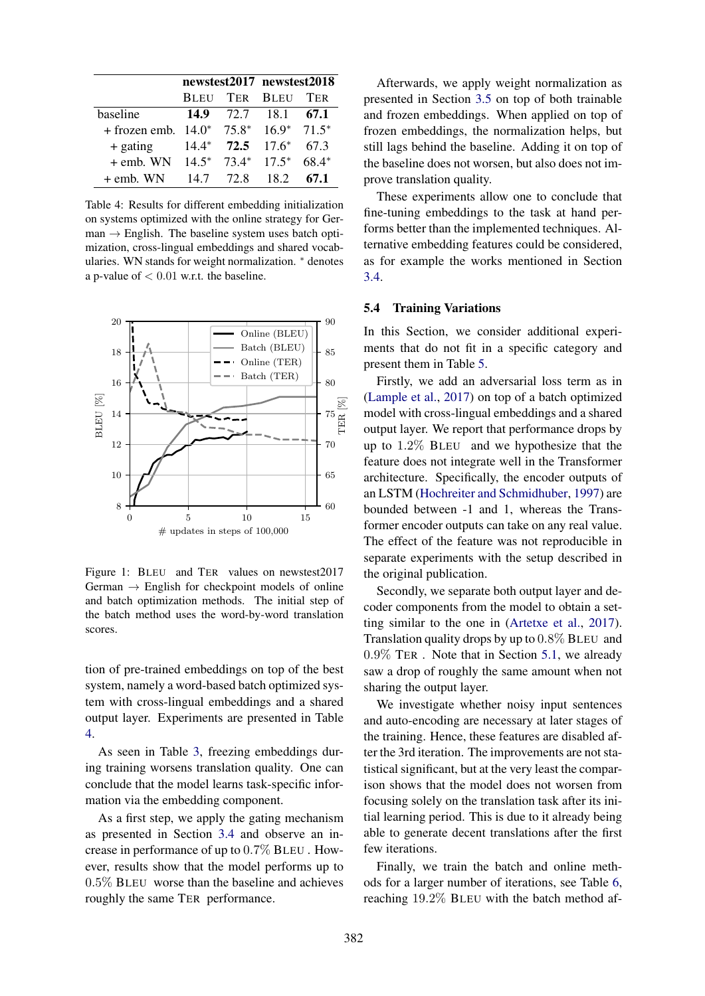|                                             |                        | newstest2017 newstest2018 |            |  |  |
|---------------------------------------------|------------------------|---------------------------|------------|--|--|
|                                             | <b>BLEU TER BLEU</b>   |                           | <b>TER</b> |  |  |
| baseline                                    | 14.9 $72.7$ 18.1       |                           | 67.1       |  |  |
| + frozen emb. $14.0^*$ 75.8* $16.9^*$ 71.5* |                        |                           |            |  |  |
| $+$ gating                                  | $14.4^*$ 72.5 $17.6^*$ |                           | 67.3       |  |  |
| $+$ emb. WN 14.5* 73.4* 17.5*               |                        |                           | $68.4*$    |  |  |
| $+$ emb. WN                                 | 14.7 72.8 18.2         |                           | 67.1       |  |  |

Table 4: Results for different embedding initialization on systems optimized with the online strategy for Ger $man \rightarrow$  English. The baseline system uses batch optimization, cross-lingual embeddings and shared vocabularies. WN stands for weight normalization. ∗ denotes a p-value of  $< 0.01$  w.r.t. the baseline.



Figure 1: BLEU and TER values on newstest2017 German  $\rightarrow$  English for checkpoint models of online and batch optimization methods. The initial step of the batch method uses the word-by-word translation scores.

tion of pre-trained embeddings on top of the best system, namely a word-based batch optimized system with cross-lingual embeddings and a shared output layer. Experiments are presented in Table 4.

As seen in Table 3, freezing embeddings during training worsens translation quality. One can conclude that the model learns task-specific information via the embedding component.

As a first step, we apply the gating mechanism as presented in Section 3.4 and observe an increase in performance of up to 0.7% BLEU . However, results show that the model performs up to 0.5% BLEU worse than the baseline and achieves roughly the same TER performance.

Afterwards, we apply weight normalization as presented in Section 3.5 on top of both trainable and frozen embeddings. When applied on top of frozen embeddings, the normalization helps, but still lags behind the baseline. Adding it on top of the baseline does not worsen, but also does not improve translation quality.

These experiments allow one to conclude that fine-tuning embeddings to the task at hand performs better than the implemented techniques. Alternative embedding features could be considered, as for example the works mentioned in Section 3.4.

### 5.4 Training Variations

In this Section, we consider additional experiments that do not fit in a specific category and present them in Table 5.

Firstly, we add an adversarial loss term as in (Lample et al., 2017) on top of a batch optimized model with cross-lingual embeddings and a shared output layer. We report that performance drops by up to 1.2% BLEU and we hypothesize that the feature does not integrate well in the Transformer architecture. Specifically, the encoder outputs of an LSTM (Hochreiter and Schmidhuber, 1997) are bounded between -1 and 1, whereas the Transformer encoder outputs can take on any real value. The effect of the feature was not reproducible in separate experiments with the setup described in the original publication.

Secondly, we separate both output layer and decoder components from the model to obtain a setting similar to the one in (Artetxe et al., 2017). Translation quality drops by up to 0.8% BLEU and 0.9% TER . Note that in Section 5.1, we already saw a drop of roughly the same amount when not sharing the output layer.

We investigate whether noisy input sentences and auto-encoding are necessary at later stages of the training. Hence, these features are disabled after the 3rd iteration. The improvements are not statistical significant, but at the very least the comparison shows that the model does not worsen from focusing solely on the translation task after its initial learning period. This is due to it already being able to generate decent translations after the first few iterations.

Finally, we train the batch and online methods for a larger number of iterations, see Table 6, reaching 19.2% BLEU with the batch method af-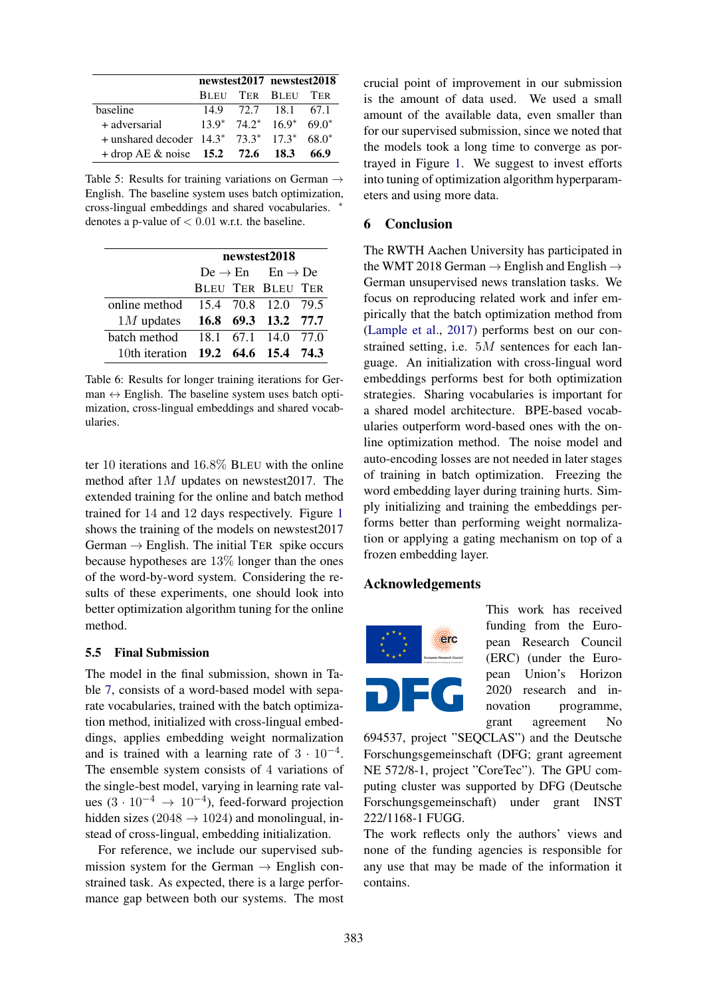|                                                       |  | newstest2017 newstest2018                    |      |  |
|-------------------------------------------------------|--|----------------------------------------------|------|--|
|                                                       |  | BLEU TER BLEU TER                            |      |  |
| baseline                                              |  | 14.9 72.7 18.1 67.1                          |      |  |
| + adversarial                                         |  | $13.9^*$ $74.2^*$ $16.9^*$ 69.0 <sup>*</sup> |      |  |
| $+$ unshared decoder $14.3^*$ $73.3^*$ $17.3^*$ 68.0* |  |                                              |      |  |
| $+$ drop AE & noise 15.2 72.6 18.3                    |  |                                              | 66.9 |  |

Table 5: Results for training variations on German  $\rightarrow$ English. The baseline system uses batch optimization, cross-lingual embeddings and shared vocabularies. ∗ denotes a p-value of  $< 0.01$  w.r.t. the baseline.

|                                    | newstest2018 |  |                                         |  |  |  |  |  |
|------------------------------------|--------------|--|-----------------------------------------|--|--|--|--|--|
|                                    |              |  | $De \rightarrow En$ $En \rightarrow De$ |  |  |  |  |  |
|                                    |              |  | <b>BLEU TER BLEU TER</b>                |  |  |  |  |  |
| online method 15.4 70.8 12.0 79.5  |              |  |                                         |  |  |  |  |  |
| $1M$ updates $16.8$ 69.3 13.2 77.7 |              |  |                                         |  |  |  |  |  |
| batch method 18.1 67.1 14.0 77.0   |              |  |                                         |  |  |  |  |  |
| 10th iteration 19.2 64.6 15.4 74.3 |              |  |                                         |  |  |  |  |  |

Table 6: Results for longer training iterations for German  $\leftrightarrow$  English. The baseline system uses batch optimization, cross-lingual embeddings and shared vocabularies.

ter 10 iterations and 16.8% BLEU with the online method after 1M updates on newstest2017. The extended training for the online and batch method trained for 14 and 12 days respectively. Figure 1 shows the training of the models on newstest2017 German  $\rightarrow$  English. The initial TER spike occurs because hypotheses are 13% longer than the ones of the word-by-word system. Considering the results of these experiments, one should look into better optimization algorithm tuning for the online method.

### 5.5 Final Submission

The model in the final submission, shown in Table 7, consists of a word-based model with separate vocabularies, trained with the batch optimization method, initialized with cross-lingual embeddings, applies embedding weight normalization and is trained with a learning rate of  $3 \cdot 10^{-4}$ . The ensemble system consists of 4 variations of the single-best model, varying in learning rate values  $(3 \cdot 10^{-4} \rightarrow 10^{-4})$ , feed-forward projection hidden sizes (2048  $\rightarrow$  1024) and monolingual, instead of cross-lingual, embedding initialization.

For reference, we include our supervised submission system for the German  $\rightarrow$  English constrained task. As expected, there is a large performance gap between both our systems. The most crucial point of improvement in our submission is the amount of data used. We used a small amount of the available data, even smaller than for our supervised submission, since we noted that the models took a long time to converge as portrayed in Figure 1. We suggest to invest efforts into tuning of optimization algorithm hyperparameters and using more data.

# 6 Conclusion

The RWTH Aachen University has participated in the WMT 2018 German  $\rightarrow$  English and English  $\rightarrow$ German unsupervised news translation tasks. We focus on reproducing related work and infer empirically that the batch optimization method from (Lample et al., 2017) performs best on our constrained setting, i.e. 5M sentences for each language. An initialization with cross-lingual word embeddings performs best for both optimization strategies. Sharing vocabularies is important for a shared model architecture. BPE-based vocabularies outperform word-based ones with the online optimization method. The noise model and auto-encoding losses are not needed in later stages of training in batch optimization. Freezing the word embedding layer during training hurts. Simply initializing and training the embeddings performs better than performing weight normalization or applying a gating mechanism on top of a frozen embedding layer.

# Acknowledgements



This work has received funding from the European Research Council (ERC) (under the European Union's Horizon 2020 research and innovation programme, grant agreement No

694537, project "SEQCLAS") and the Deutsche Forschungsgemeinschaft (DFG; grant agreement NE 572/8-1, project "CoreTec"). The GPU computing cluster was supported by DFG (Deutsche Forschungsgemeinschaft) under grant INST 222/1168-1 FUGG.

The work reflects only the authors' views and none of the funding agencies is responsible for any use that may be made of the information it contains.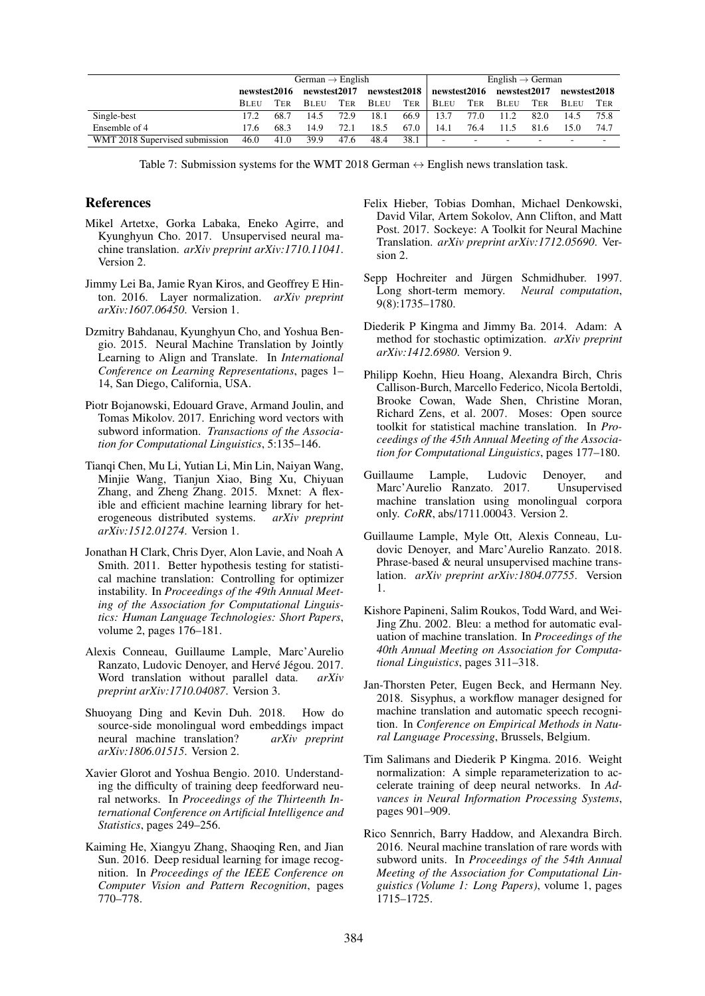|                                | German $\rightarrow$ English |      |              |      |                                          |      | English $\rightarrow$ German |        |             |            |              |      |
|--------------------------------|------------------------------|------|--------------|------|------------------------------------------|------|------------------------------|--------|-------------|------------|--------------|------|
|                                | newstest2016                 |      | newstest2017 |      | newstest2018   newstest2016 newstest2017 |      |                              |        |             |            | newstest2018 |      |
|                                | <b>BLEU</b>                  | TER  | <b>BLEU</b>  | TER  | <b>BLEU</b>                              | TER  | <b>B</b> LEU                 | TER    | <b>BLEU</b> | <b>TER</b> | <b>BLEU</b>  | Ter  |
| Single-best                    | 17.2                         | 68.7 | 14.5         | 72.9 | 18.1                                     | 66.9 | 13.7                         | 77.0   | 11.2        | 82.0       | 14.5         | 75.8 |
| Ensemble of 4                  | 17.6                         | 68.3 | 14.9         | 72.1 | 18.5                                     | 67.0 | 14.1                         | 76.4   | 11.5        | 81.6       | 15.0         | 74.7 |
| WMT 2018 Supervised submission | 46.0                         | 41.0 | 39.9         | 47.6 | 48.4                                     | 38.1 | $\sim$                       | $\sim$ | -           | ۰.         | -            | ۰    |

Table 7: Submission systems for the WMT 2018 German  $\leftrightarrow$  English news translation task.

### References

- Mikel Artetxe, Gorka Labaka, Eneko Agirre, and Kyunghyun Cho. 2017. Unsupervised neural machine translation. *arXiv preprint arXiv:1710.11041*. Version 2.
- Jimmy Lei Ba, Jamie Ryan Kiros, and Geoffrey E Hinton. 2016. Layer normalization. *arXiv preprint arXiv:1607.06450*. Version 1.
- Dzmitry Bahdanau, Kyunghyun Cho, and Yoshua Bengio. 2015. Neural Machine Translation by Jointly Learning to Align and Translate. In *International Conference on Learning Representations*, pages 1– 14, San Diego, California, USA.
- Piotr Bojanowski, Edouard Grave, Armand Joulin, and Tomas Mikolov. 2017. Enriching word vectors with subword information. *Transactions of the Association for Computational Linguistics*, 5:135–146.
- Tianqi Chen, Mu Li, Yutian Li, Min Lin, Naiyan Wang, Minjie Wang, Tianjun Xiao, Bing Xu, Chiyuan Zhang, and Zheng Zhang. 2015. Mxnet: A flexible and efficient machine learning library for heterogeneous distributed systems. *arXiv preprint arXiv:1512.01274*. Version 1.
- Jonathan H Clark, Chris Dyer, Alon Lavie, and Noah A Smith. 2011. Better hypothesis testing for statistical machine translation: Controlling for optimizer instability. In *Proceedings of the 49th Annual Meeting of the Association for Computational Linguistics: Human Language Technologies: Short Papers*, volume 2, pages 176–181.
- Alexis Conneau, Guillaume Lample, Marc'Aurelio Ranzato, Ludovic Denoyer, and Hervé Jégou. 2017. Word translation without parallel data. *arXiv preprint arXiv:1710.04087*. Version 3.
- Shuoyang Ding and Kevin Duh. 2018. How do source-side monolingual word embeddings impact neural machine translation? *arXiv preprint arXiv:1806.01515*. Version 2.
- Xavier Glorot and Yoshua Bengio. 2010. Understanding the difficulty of training deep feedforward neural networks. In *Proceedings of the Thirteenth International Conference on Artificial Intelligence and Statistics*, pages 249–256.
- Kaiming He, Xiangyu Zhang, Shaoqing Ren, and Jian Sun. 2016. Deep residual learning for image recognition. In *Proceedings of the IEEE Conference on Computer Vision and Pattern Recognition*, pages 770–778.
- Felix Hieber, Tobias Domhan, Michael Denkowski, David Vilar, Artem Sokolov, Ann Clifton, and Matt Post. 2017. Sockeye: A Toolkit for Neural Machine Translation. *arXiv preprint arXiv:1712.05690*. Version 2.
- Sepp Hochreiter and Jürgen Schmidhuber. 1997. Long short-term memory. *Neural computation*, 9(8):1735–1780.
- Diederik P Kingma and Jimmy Ba. 2014. Adam: A method for stochastic optimization. *arXiv preprint arXiv:1412.6980*. Version 9.
- Philipp Koehn, Hieu Hoang, Alexandra Birch, Chris Callison-Burch, Marcello Federico, Nicola Bertoldi, Brooke Cowan, Wade Shen, Christine Moran, Richard Zens, et al. 2007. Moses: Open source toolkit for statistical machine translation. In *Proceedings of the 45th Annual Meeting of the Association for Computational Linguistics*, pages 177–180.
- Guillaume Lample, Ludovic Denoyer, and Marc'Aurelio Ranzato. 2017. Unsupervised machine translation using monolingual corpora only. *CoRR*, abs/1711.00043. Version 2.
- Guillaume Lample, Myle Ott, Alexis Conneau, Ludovic Denoyer, and Marc'Aurelio Ranzato. 2018. Phrase-based & neural unsupervised machine translation. *arXiv preprint arXiv:1804.07755*. Version 1.
- Kishore Papineni, Salim Roukos, Todd Ward, and Wei-Jing Zhu. 2002. Bleu: a method for automatic evaluation of machine translation. In *Proceedings of the 40th Annual Meeting on Association for Computational Linguistics*, pages 311–318.
- Jan-Thorsten Peter, Eugen Beck, and Hermann Ney. 2018. Sisyphus, a workflow manager designed for machine translation and automatic speech recognition. In *Conference on Empirical Methods in Natural Language Processing*, Brussels, Belgium.
- Tim Salimans and Diederik P Kingma. 2016. Weight normalization: A simple reparameterization to accelerate training of deep neural networks. In *Advances in Neural Information Processing Systems*, pages 901–909.
- Rico Sennrich, Barry Haddow, and Alexandra Birch. 2016. Neural machine translation of rare words with subword units. In *Proceedings of the 54th Annual Meeting of the Association for Computational Linguistics (Volume 1: Long Papers)*, volume 1, pages 1715–1725.